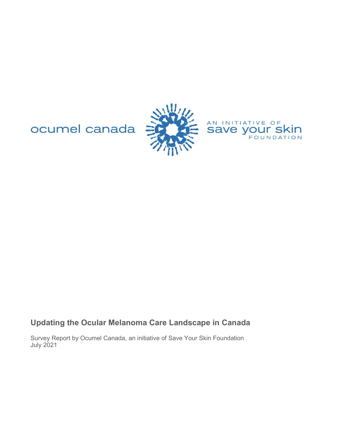ocumel canada





# **Updating the Ocular Melanoma Care Landscape in Canada**

Survey Report by Ocumel Canada, an initiative of Save Your Skin Foundation July 2021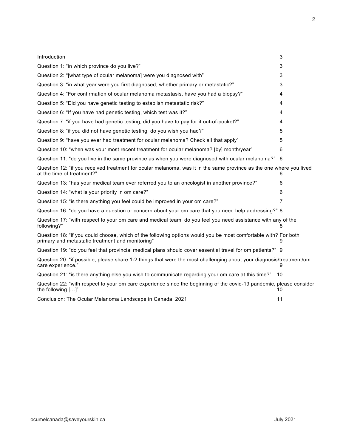| Introduction                                                                                                                                                       | 3              |
|--------------------------------------------------------------------------------------------------------------------------------------------------------------------|----------------|
| Question 1: "in which province do you live?"                                                                                                                       | 3              |
| Question 2: "[what type of ocular melanoma] were you diagnosed with"                                                                                               | 3              |
| Question 3: "in what year were you first diagnosed, whether primary or metastatic?"                                                                                | 3              |
| Question 4: "For confirmation of ocular melanoma metastasis, have you had a biopsy?"                                                                               | 4              |
| Question 5: "Did you have genetic testing to establish metastatic risk?"                                                                                           | 4              |
| Question 6: "If you have had genetic testing, which test was it?"                                                                                                  | 4              |
| Question 7: "if you have had genetic testing, did you have to pay for it out-of-pocket?"                                                                           | 4              |
| Question 8: "if you did not have genetic testing, do you wish you had?"                                                                                            | 5              |
| Question 9: "have you ever had treatment for ocular melanoma? Check all that apply"                                                                                | 5              |
| Question 10: "when was your most recent treatment for ocular melanoma? [by] month/year"                                                                            | 6              |
| Question 11: "do you live in the same province as when you were diagnosed with ocular melanoma?"                                                                   | 6              |
| Question 12: "if you received treatment for ocular melanoma, was it in the same province as the one where you lived<br>at the time of treatment?"                  | 6              |
| Question 13: "has your medical team ever referred you to an oncologist in another province?"                                                                       | 6              |
| Question 14: "what is your priority in om care?"                                                                                                                   | 6              |
| Question 15: "is there anything you feel could be improved in your om care?"                                                                                       | $\overline{7}$ |
| Question 16: "do you have a question or concern about your om care that you need help addressing?" 8                                                               |                |
| Question 17: "with respect to your om care and medical team, do you feel you need assistance with any of the<br>following?"                                        | 8              |
| Question 18: "if you could choose, which of the following options would you be most comfortable with? For both<br>primary and metastatic treatment and monitoring" |                |
| Question 19: "do you feel that provincial medical plans should cover essential travel for om patients?" 9                                                          |                |
| Question 20: "if possible, please share 1-2 things that were the most challenging about your diagnosis/treatment/om<br>care experience."                           | 9              |
| Question 21: "is there anything else you wish to communicate regarding your om care at this time?"                                                                 | 10             |
| Question 22: "with respect to your om care experience since the beginning of the covid-19 pandemic, please consider<br>the following []"                           | 10             |
| Conclusion: The Ocular Melanoma Landscape in Canada, 2021                                                                                                          | 11             |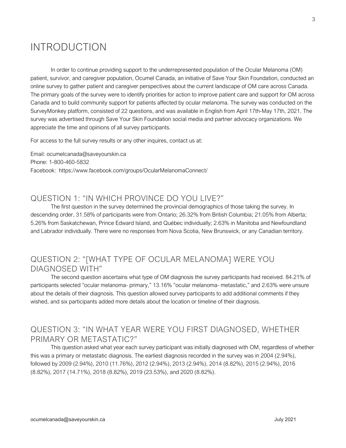# INTRODUCTION

 In order to continue providing support to the underrepresented population of the Ocular Melanoma (OM) patient, survivor, and caregiver population, Ocumel Canada, an initiative of Save Your Skin Foundation, conducted an online survey to gather patient and caregiver perspectives about the current landscape of OM care across Canada. The primary goals of the survey were to identify priorities for action to improve patient care and support for OM across Canada and to build community support for patients affected by ocular melanoma. The survey was conducted on the SurveyMonkey platform, consisted of 22 questions, and was available in English from April 17th-May 17th, 2021. The survey was advertised through Save Your Skin Foundation social media and partner advocacy organizations. We appreciate the time and opinions of all survey participants.

For access to the full survey results or any other inquires, contact us at:

Email: ocumelcanada@saveyourskin.ca Phone: 1-800-460-5832 Facebook: https://www.facebook.com/groups/OcularMelanomaConnect/

#### QUESTION 1: "IN WHICH PROVINCE DO YOU LIVE?"

 The first question in the survey determined the provincial demographics of those taking the survey. In descending order, 31.58% of participants were from Ontario; 26.32% from British Columbia; 21.05% from Alberta; 5.26% from Saskatchewan, Prince Edward Island, and Québec individually; 2.63% in Manitoba and Newfoundland and Labrador individually. There were no responses from Nova Scotia, New Brunswick, or any Canadian territory.

#### QUESTION 2: "[WHAT TYPE OF OCULAR MELANOMA] WERE YOU DIAGNOSED WITH"

 The second question ascertains what type of OM diagnosis the survey participants had received. 84.21% of participants selected "ocular melanoma- primary," 13.16% "ocular melanoma- metastatic," and 2.63% were unsure about the details of their diagnosis. This question allowed survey participants to add additional comments if they wished, and six participants added more details about the location or timeline of their diagnosis.

#### QUESTION 3: "IN WHAT YEAR WERE YOU FIRST DIAGNOSED, WHETHER PRIMARY OR METASTATIC?"

 This question asked what year each survey participant was initially diagnosed with OM, regardless of whether this was a primary or metastatic diagnosis. The earliest diagnosis recorded in the survey was in 2004 (2.94%), followed by 2009 (2.94%), 2010 (11.76%), 2012 (2.94%), 2013 (2.94%), 2014 (8.82%), 2015 (2.94%), 2016 (8.82%), 2017 (14.71%), 2018 (8.82%), 2019 (23.53%), and 2020 (8.82%).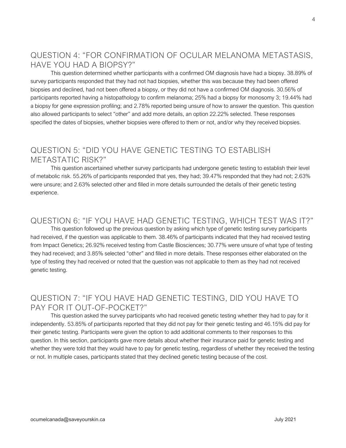#### QUESTION 4: "FOR CONFIRMATION OF OCULAR MELANOMA METASTASIS, HAVE YOU HAD A BIOPSY?"

 This question determined whether participants with a confirmed OM diagnosis have had a biopsy. 38.89% of survey participants responded that they had not had biopsies, whether this was because they had been offered biopsies and declined, had not been offered a biopsy, or they did not have a confirmed OM diagnosis. 30.56% of participants reported having a histopathology to confirm melanoma; 25% had a biopsy for monosomy 3; 19.44% had a biopsy for gene expression profiling; and 2.78% reported being unsure of how to answer the question. This question also allowed participants to select "other" and add more details, an option 22.22% selected. These responses specified the dates of biopsies, whether biopsies were offered to them or not, and/or why they received biopsies.

## QUESTION 5: "DID YOU HAVE GENETIC TESTING TO ESTABLISH METASTATIC RISK?"

 This question ascertained whether survey participants had undergone genetic testing to establish their level of metabolic risk. 55.26% of participants responded that yes, they had; 39.47% responded that they had not; 2.63% were unsure; and 2.63% selected other and filled in more details surrounded the details of their genetic testing experience.

#### QUESTION 6: "IF YOU HAVE HAD GENETIC TESTING, WHICH TEST WAS IT?"

 This question followed up the previous question by asking which type of genetic testing survey participants had received, if the question was applicable to them. 38.46% of participants indicated that they had received testing from Impact Genetics; 26.92% received testing from Castle Biosciences; 30.77% were unsure of what type of testing they had received; and 3.85% selected "other" and filled in more details. These responses either elaborated on the type of testing they had received or noted that the question was not applicable to them as they had not received genetic testing.

## QUESTION 7: "IF YOU HAVE HAD GENETIC TESTING, DID YOU HAVE TO PAY FOR IT OUT-OF-POCKET?"

 This question asked the survey participants who had received genetic testing whether they had to pay for it independently. 53.85% of participants reported that they did not pay for their genetic testing and 46.15% did pay for their genetic testing. Participants were given the option to add additional comments to their responses to this question. In this section, participants gave more details about whether their insurance paid for genetic testing and whether they were told that they would have to pay for genetic testing, regardless of whether they received the testing or not. In multiple cases, participants stated that they declined genetic testing because of the cost.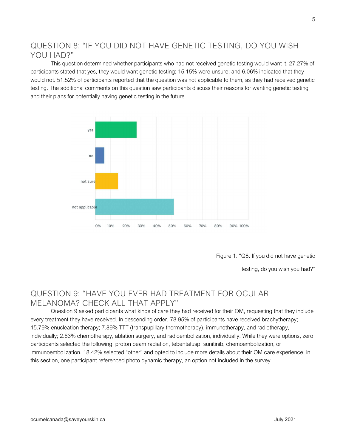## QUESTION 8: "IF YOU DID NOT HAVE GENETIC TESTING, DO YOU WISH YOU HAD?"

 This question determined whether participants who had not received genetic testing would want it. 27.27% of participants stated that yes, they would want genetic testing; 15.15% were unsure; and 6.06% indicated that they would not. 51.52% of participants reported that the question was not applicable to them, as they had received genetic testing. The additional comments on this question saw participants discuss their reasons for wanting genetic testing and their plans for potentially having genetic testing in the future.



Figure 1: "Q8: If you did not have genetic

testing, do you wish you had?"

## QUESTION 9: "HAVE YOU EVER HAD TREATMENT FOR OCULAR MELANOMA? CHECK ALL THAT APPLY"

 Question 9 asked participants what kinds of care they had received for their OM, requesting that they include every treatment they have received. In descending order, 78.95% of participants have received brachytherapy; 15.79% enucleation therapy; 7.89% TTT (transpupillary thermotherapy), immunotherapy, and radiotherapy, individually; 2.63% chemotherapy, ablation surgery, and radioembolization, individually. While they were options, zero participants selected the following: proton beam radiation, tebentafusp, sunitinib, chemoembolization, or immunoembolization. 18.42% selected "other" and opted to include more details about their OM care experience; in this section, one participant referenced photo dynamic therapy, an option not included in the survey.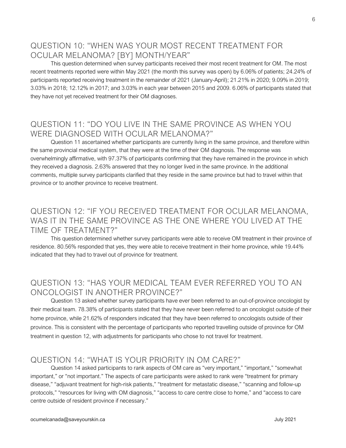## QUESTION 10: "WHEN WAS YOUR MOST RECENT TREATMENT FOR OCULAR MELANOMA? [BY] MONTH/YEAR"

 This question determined when survey participants received their most recent treatment for OM. The most recent treatments reported were within May 2021 (the month this survey was open) by 6.06% of patients; 24.24% of participants reported receiving treatment in the remainder of 2021 (January-April); 21.21% in 2020; 9.09% in 2019; 3.03% in 2018; 12.12% in 2017; and 3.03% in each year between 2015 and 2009. 6.06% of participants stated that they have not yet received treatment for their OM diagnoses.

#### QUESTION 11: "DO YOU LIVE IN THE SAME PROVINCE AS WHEN YOU WERE DIAGNOSED WITH OCULAR MELANOMA?"

 Question 11 ascertained whether participants are currently living in the same province, and therefore within the same provincial medical system, that they were at the time of their OM diagnosis. The response was overwhelmingly affirmative, with 97.37% of participants confirming that they have remained in the province in which they received a diagnosis. 2.63% answered that they no longer lived in the same province. In the additional comments, multiple survey participants clarified that they reside in the same province but had to travel within that province or to another province to receive treatment.

## QUESTION 12: "IF YOU RECEIVED TREATMENT FOR OCULAR MELANOMA, WAS IT IN THE SAME PROVINCE AS THE ONE WHERE YOU LIVED AT THE TIME OF TREATMENT?"

 This question determined whether survey participants were able to receive OM treatment in their province of residence. 80.56% responded that yes, they were able to receive treatment in their home province, while 19.44% indicated that they had to travel out of province for treatment.

## QUESTION 13: "HAS YOUR MEDICAL TEAM EVER REFERRED YOU TO AN ONCOLOGIST IN ANOTHER PROVINCE?"

 Question 13 asked whether survey participants have ever been referred to an out-of-province oncologist by their medical team. 78.38% of participants stated that they have never been referred to an oncologist outside of their home province, while 21.62% of responders indicated that they have been referred to oncologists outside of their province. This is consistent with the percentage of participants who reported travelling outside of province for OM treatment in question 12, with adjustments for participants who chose to not travel for treatment.

#### QUESTION 14: "WHAT IS YOUR PRIORITY IN OM CARE?"

 Question 14 asked participants to rank aspects of OM care as "very important," "important," "somewhat important," or "not important." The aspects of care participants were asked to rank were "treatment for primary disease," "adjuvant treatment for high-risk patients," "treatment for metastatic disease," "scanning and follow-up protocols," "resources for living with OM diagnosis," "access to care centre close to home," and "access to care centre outside of resident province if necessary."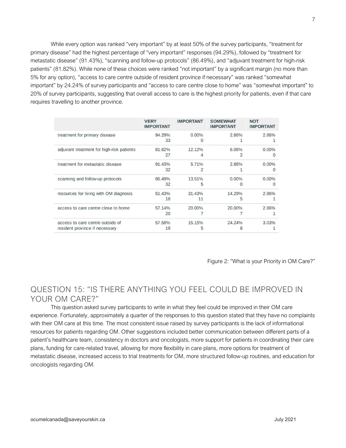While every option was ranked "very important" by at least 50% of the survey participants, "treatment for primary disease" had the highest percentage of "very important" responses (94.29%), followed by "treatment for metastatic disease" (91.43%), "scanning and follow-up protocols" (86.49%), and "adjuvant treatment for high-risk patients" (81.82%). While none of these choices were ranked "not important" by a significant margin (no more than 5% for any option), "access to care centre outside of resident province if necessary" was ranked "somewhat important" by 24.24% of survey participants and "access to care centre close to home" was "somewhat important" to 20% of survey participants, suggesting that overall access to care is the highest priority for patients, even if that care requires travelling to another province.

|                                                                    | <b>VERY</b><br><b>IMPORTANT</b> | <b>IMPORTANT</b> | <b>SOMEWHAT</b><br><b>IMPORTANT</b> | <b>NOT</b><br><b>IMPORTANT</b> |
|--------------------------------------------------------------------|---------------------------------|------------------|-------------------------------------|--------------------------------|
| treatment for primary disease                                      | 94.29%<br>33                    | $0.00\%$         | 2.86%                               | 2.86%                          |
| adjuvant treatment for high-risk patients                          | 81.82%<br>27                    | 12.12%<br>4      | 6.06%<br>2                          | $0.00\%$<br>O                  |
| treatment for metastatic disease                                   | 91.43%<br>32                    | 5.71%<br>2       | 2.86%                               | $0.00\%$<br>$\Omega$           |
| scanning and follow-up protocols                                   | 86.49%<br>32                    | 13.51%<br>5      | $0.00\%$<br>O                       | $0.00\%$<br>$\Omega$           |
| resources for living with OM diagnosis                             | 51.43%<br>18                    | 31.43%<br>11     | 14.29%<br>5                         | 2.86%                          |
| access to care centre close to home                                | 57.14%<br>20                    | 20.00%           | 20.00%                              | 2.86%                          |
| access to care centre outside of<br>resident province if necessary | 57.58%<br>19                    | 15.15%<br>5      | 24.24%<br>8                         | 3.03%                          |

Figure 2: "What is your Priority in OM Care?"

#### QUESTION 15: "IS THERE ANYTHING YOU FEEL COULD BE IMPROVED IN YOUR OM CARE?"

 This question asked survey participants to write in what they feel could be improved in their OM care experience. Fortunately, approximately a quarter of the responses to this question stated that they have no complaints with their OM care at this time. The most consistent issue raised by survey participants is the lack of informational resources for patients regarding OM. Other suggestions included better communication between different parts of a patient's healthcare team, consistency in doctors and oncologists, more support for patients in coordinating their care plans, funding for care-related travel, allowing for more flexibility in care plans, more options for treatment of metastatic disease, increased access to trial treatments for OM, more structured follow-up routines, and education for oncologists regarding OM.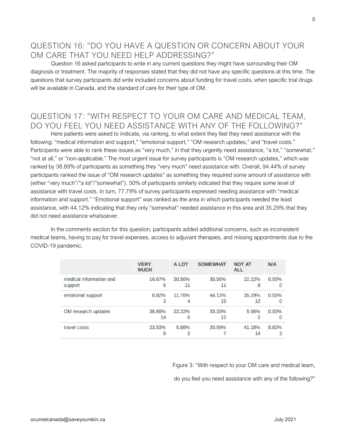## QUESTION 16: "DO YOU HAVE A QUESTION OR CONCERN ABOUT YOUR OM CARE THAT YOU NEED HELP ADDRESSING?"

 Question 16 asked participants to write in any current questions they might have surrounding their OM diagnosis or treatment. The majority of responses stated that they did not have any specific questions at this time. The questions that survey participants did write included concerns about funding for travel costs, when specific trial drugs will be available in Canada, and the standard of care for their type of OM.

## QUESTION 17: "WITH RESPECT TO YOUR OM CARE AND MEDICAL TEAM, DO YOU FEEL YOU NEED ASSISTANCE WITH ANY OF THE FOLLOWING?"

 Here patients were asked to indicate, via ranking, to what extent they feel they need assistance with the following: "medical information and support," "emotional support," "OM research updates," and "travel costs." Participants were able to rank these issues as "very much," in that they urgently need assistance, "a lot," "somewhat," "not at all," or "non-applicable." The most urgent issue for survey participants is "OM research updates," which was ranked by 38.89% of participants as something they "very much" need assistance with. Overall, 94.44% of survey participants ranked the issue of "OM research updates" as something they required some amount of assistance with (either "very much"/"a lot"/"somewhat"). 50% of participants similarly indicated that they require some level of assistance with travel costs. In turn, 77.79% of survey participants expressed needing assistance with "medical information and support." "Emotional support" was ranked as the area in which participants needed the least assistance, with 44.12% indicating that they only "somewhat" needed assistance in this area and 35.29% that they did not need assistance whatsoever.

 In the comments section for this question, participants added additional concerns, such as inconsistent medical teams, having to pay for travel expenses, access to adjuvant therapies, and missing appointments due to the COVID-19 pandemic.

|                         | <b>VERY</b><br><b>MUCH</b> | A LOT  | <b>SOMEWHAT</b> | <b>NOT AT</b><br><b>ALL</b> | N/A        |
|-------------------------|----------------------------|--------|-----------------|-----------------------------|------------|
| medical information and | 16.67%                     | 30.56% | 30.56%          | 22.22%                      | $0.00\%$   |
| support                 | 6                          | 11     | 11              | 8                           | $\Omega$   |
| emotional support       | 8.82%                      | 11.76% | 44.12%          | 35.29%                      | $0.00\%$   |
|                         | 3                          | 4      | 15              | 12                          | $\Omega$   |
| OM research updates     | 38.89%                     | 22.22% | 33.33%          | 5.56%                       | $0.00\%$   |
|                         | 14                         | 8      | 12              | 2                           | $\Omega$   |
| travel costs            | 23.53%<br>8                | 5.88%  | 20.59%          | 41.18%<br>14                | 8.82%<br>3 |

Figure 3: "With respect to your OM care and medical team,

do you feel you need assistance with any of the following?"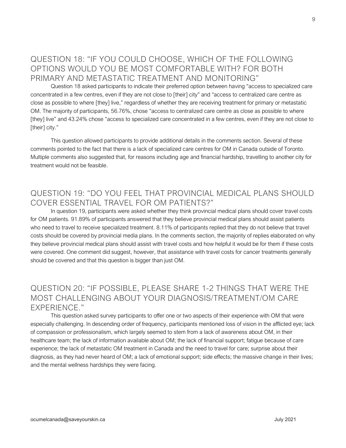## QUESTION 18: "IF YOU COULD CHOOSE, WHICH OF THE FOLLOWING OPTIONS WOULD YOU BE MOST COMFORTABLE WITH? FOR BOTH PRIMARY AND METASTATIC TREATMENT AND MONITORING"

 Question 18 asked participants to indicate their preferred option between having "access to specialized care concentrated in a few centres, even if they are not close to [their] city" and "access to centralized care centre as close as possible to where [they] live," regardless of whether they are receiving treatment for primary or metastatic OM. The majority of participants, 56.76%, chose "access to centralized care centre as close as possible to where [they] live" and 43.24% chose "access to specialized care concentrated in a few centres, even if they are not close to [their] city."

 This question allowed participants to provide additional details in the comments section. Several of these comments pointed to the fact that there is a lack of specialized care centres for OM in Canada outside of Toronto. Multiple comments also suggested that, for reasons including age and financial hardship, travelling to another city for treatment would not be feasible.

## QUESTION 19: "DO YOU FEEL THAT PROVINCIAL MEDICAL PLANS SHOULD COVER ESSENTIAL TRAVEL FOR OM PATIENTS?"

 In question 19, participants were asked whether they think provincial medical plans should cover travel costs for OM patients. 91.89% of participants answered that they believe provincial medical plans should assist patients who need to travel to receive specialized treatment. 8.11% of participants replied that they do not believe that travel costs should be covered by provincial media plans. In the comments section, the majority of replies elaborated on why they believe provincial medical plans should assist with travel costs and how helpful it would be for them if these costs were covered. One comment did suggest, however, that assistance with travel costs for cancer treatments generally should be covered and that this question is bigger than just OM.

## QUESTION 20: "IF POSSIBLE, PLEASE SHARE 1-2 THINGS THAT WERE THE MOST CHALLENGING ABOUT YOUR DIAGNOSIS/TREATMENT/OM CARE EXPERIENCE."

 This question asked survey participants to offer one or two aspects of their experience with OM that were especially challenging. In descending order of frequency, participants mentioned loss of vision in the afflicted eye; lack of compassion or professionalism, which largely seemed to stem from a lack of awareness about OM, in their healthcare team; the lack of information available about OM; the lack of financial support; fatigue because of care experience; the lack of metastatic OM treatment in Canada and the need to travel for care; surprise about their diagnosis, as they had never heard of OM; a lack of emotional support; side effects; the massive change in their lives; and the mental wellness hardships they were facing.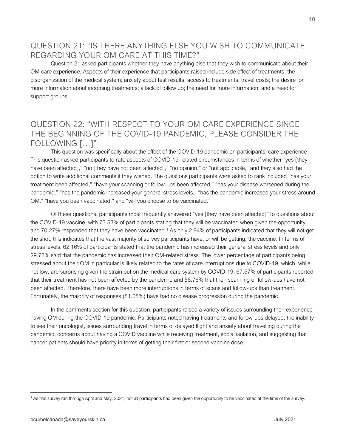## QUESTION 21: "IS THERE ANYTHING ELSE YOU WISH TO COMMUNICATE REGARDING YOUR OM CARE AT THIS TIME?"

 Question 21 asked participants whether they have anything else that they wish to communicate about their OM care experience. Aspects of their experience that participants raised include side effect of treatments; the disorganization of the medical system; anxiety about test results; access to treatments; travel costs; the desire for more information about incoming treatments; a lack of follow up; the need for more information; and a need for support groups.

#### QUESTION 22: "WITH RESPECT TO YOUR OM CARE EXPERIENCE SINCE THE BEGINNING OF THE COVID-19 PANDEMIC, PLEASE CONSIDER THE FOLLOWING […]"

 This question was specifically about the effect of the COVID-19 pandemic on participants' care experience. This question asked participants to rate aspects of COVID-19-related circumstances in terms of whether "yes [they have been affected]," "no [they have not been affected]," "no opinion," or "not applicable," and they also had the option to write additional comments if they wished. The questions participants were asked to rank included "has your treatment been affected," "have your scanning or follow-ups been affected," "has your disease worsened during the pandemic," "has the pandemic increased your general stress levels," "has the pandemic increased your stress around OM," "have you been vaccinated," and "will you choose to be vaccinated."

 Of these questions, participants most frequently answered "yes [they have been affected]" to questions about the COVID-19 vaccine, with 73.53% of participants stating that they will be vaccinated when given the opportunity and 70.27% responded that they have been vaccinated.<sup>1</sup> As only 2.94% of participants indicated that they will not get the shot, this indicates that the vast majority of survey participants have, or will be getting, the vaccine. In terms of stress levels, 62.16% of participants stated that the pandemic has increased their general stress levels and only 29.73% said that the pandemic has increased their OM-related stress. The lower percentage of participants being stressed about their OM in particular is likely related to the rates of care interruptions due to COVID-19, which, while not low, are surprising given the strain put on the medical care system by COVID-19. 67.57% of participants reported that their treatment has not been affected by the pandemic and 56.76% that their scanning or follow-ups have not been affected. Therefore, there have been more interruptions in terms of scans and follow-ups than treatment. Fortunately, the majority of responses (81.08%) have had no disease progression during the pandemic.

 In the comments section for this question, participants raised a variety of issues surrounding their experience having OM during the COVID-19 pandemic. Participants noted having treatments and follow-ups delayed, the inability to see their oncologist, issues surrounding travel in terms of delayed flight and anxiety about travelling during the pandemic, concerns about having a COVID vaccine while receiving treatment, social isolation, and suggesting that cancer patients should have priority in terms of getting their first or second vaccine dose.

<sup>&</sup>lt;sup>1</sup> As this survey ran through April and May, 2021, not all participants had been given the opportunity to be vaccinated at the time of the survey.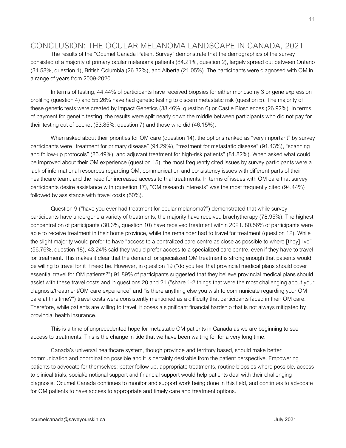#### CONCLUSION: THE OCULAR MELANOMA LANDSCAPE IN CANADA, 2021

 The results of the "Ocumel Canada Patient Survey" demonstrate that the demographics of the survey consisted of a majority of primary ocular melanoma patients (84.21%, question 2), largely spread out between Ontario (31.58%, question 1), British Columbia (26.32%), and Alberta (21.05%). The participants were diagnosed with OM in a range of years from 2009-2020.

 In terms of testing, 44.44% of participants have received biopsies for either monosomy 3 or gene expression profiling (question 4) and 55.26% have had genetic testing to discern metastatic risk (question 5). The majority of these genetic tests were created by Impact Genetics (38.46%, question 6) or Castle Biosciences (26.92%). In terms of payment for genetic testing, the results were split nearly down the middle between participants who did not pay for their testing out of pocket (53.85%, question 7) and those who did (46.15%).

When asked about their priorities for OM care (question 14), the options ranked as "very important" by survey participants were "treatment for primary disease" (94.29%), "treatment for metastatic disease" (91.43%), "scanning and follow-up protocols" (86.49%), and adjuvant treatment for high-risk patients" (81.82%). When asked what could be improved about their OM experience (question 15), the most frequently cited issues by survey participants were a lack of informational resources regarding OM, communication and consistency issues with different parts of their healthcare team, and the need for increased access to trial treatments. In terms of issues with OM care that survey participants desire assistance with (question 17), "OM research interests" was the most frequently cited (94.44%) followed by assistance with travel costs (50%).

 Question 9 ("have you ever had treatment for ocular melanoma?") demonstrated that while survey participants have undergone a variety of treatments, the majority have received brachytherapy (78.95%). The highest concentration of participants (30.3%, question 10) have received treatment within 2021. 80.56% of participants were able to receive treatment in their home province, while the remainder had to travel for treatment (question 12). While the slight majority would prefer to have "access to a centralized care centre as close as possible to where [they] live" (56.76%, question 18), 43.24% said they would prefer access to a specialized care centre, even if they have to travel for treatment. This makes it clear that the demand for specialized OM treatment is strong enough that patients would be willing to travel for it if need be. However, in question 19 ("do you feel that provincial medical plans should cover essential travel for OM patients?") 91.89% of participants suggested that they believe provincial medical plans should assist with these travel costs and in questions 20 and 21 ("share 1-2 things that were the most challenging about your diagnosis/treatment/OM care experience" and "is there anything else you wish to communicate regarding your OM care at this time?") travel costs were consistently mentioned as a difficulty that participants faced in their OM care. Therefore, while patients are willing to travel, it poses a significant financial hardship that is not always mitigated by provincial health insurance.

 This is a time of unprecedented hope for metastatic OM patients in Canada as we are beginning to see access to treatments. This is the change in tide that we have been waiting for for a very long time.

Canada's universal healthcare system, though province and territory based, should make better communication and coordination possible and it is certainly desirable from the patient perspective. Empowering patients to advocate for themselves: better follow up, appropriate treatments, routine biopsies where possible, access to clinical trials, social/emotional support and financial support would help patients deal with their challenging diagnosis. Ocumel Canada continues to monitor and support work being done in this field, and continues to advocate for OM patients to have access to appropriate and timely care and treatment options.